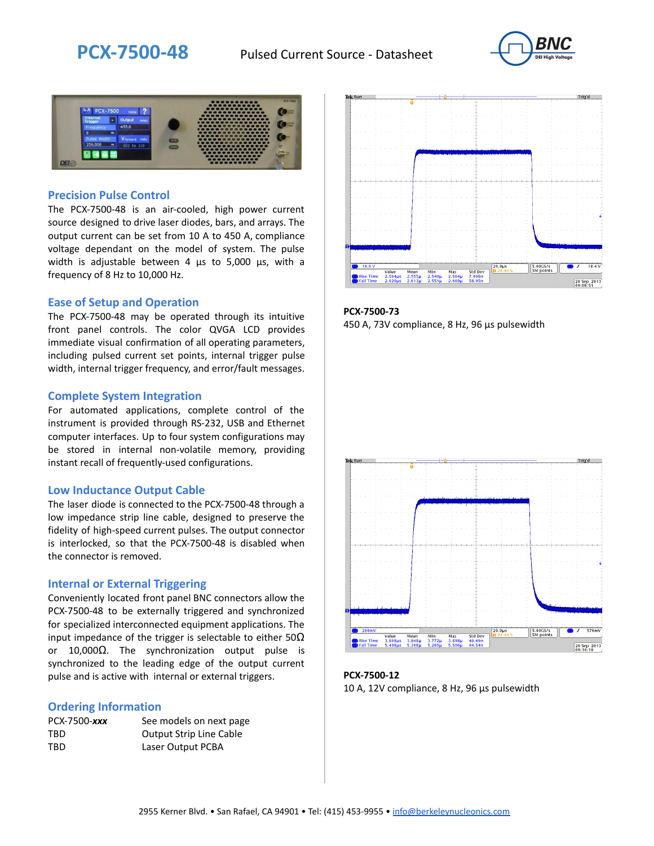



### **Precision Pulse Control**

The PCX-7500-48 is an air-cooled, high power current source designed to drive laser diodes, bars, and arrays. The output current can be set from 10 A to 450 A, compliance voltage dependant on the model of system. The pulse width is adjustable between 4 µs to 5,000 µs, with a frequency of 8 Hz to 10,000 Hz.

#### **Ease of Setup and Operation**

The PCX-7500-48 may be operated through its intuitive front panel controls. The color QVGA LCD provides immediate visual confirmation of all operating parameters, including pulsed current set points, internal trigger pulse width, internal trigger frequency, and error/fault messages.

#### **Complete System Integration**

For automated applications, complete control of the instrument is provided through RS-232, USB and Ethernet computer interfaces. Up to four system configurations may be stored in internal non-volatile memory, providing instant recall of frequently-used configurations.

#### **Low Inductance Output Cable**

The laser diode is connected to the PCX-7500-48 through a low impedance strip line cable, designed to preserve the fidelity of high-speed current pulses. The output connector is interlocked, so that the PCX-7500-48 is disabled when the connector is removed.

#### **Internal or External Triggering**

Conveniently located front panel BNC connectors allow the PCX-7500-48 to be externally triggered and synchronized for specialized interconnected equipment applications. The input impedance of the trigger is selectable to either  $50\Omega$ or 10,000Ω. The synchronization output pulse is synchronized to the leading edge of the output current pulse and is active with internal or external triggers.

#### **Ordering Information**

| PCX-7500-xxx | See models on next page        |
|--------------|--------------------------------|
| TBD          | <b>Output Strip Line Cable</b> |
| TBD          | Laser Output PCBA              |



**PCX-7500-73** 450 A, 73V compliance, 8 Hz, 96 µs pulsewidth



**PCX-7500-12** 10 A, 12V compliance, 8 Hz, 96 μs pulsewidth